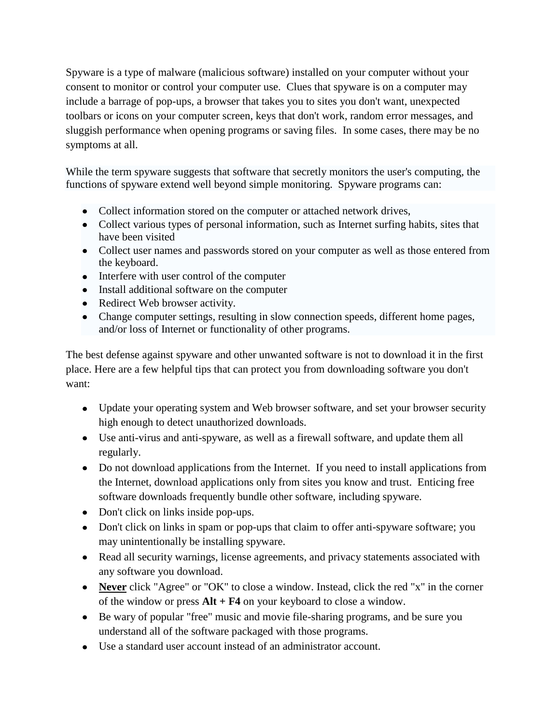Spyware is a type of malware (malicious software) installed on your computer without your consent to monitor or control your computer use. Clues that spyware is on a computer may include a barrage of pop-ups, a browser that takes you to sites you don't want, unexpected toolbars or icons on your computer screen, keys that don't work, random error messages, and sluggish performance when opening programs or saving files. In some cases, there may be no symptoms at all.

While the term spyware suggests that software that secretly monitors the user's computing, the functions of spyware extend well beyond simple monitoring. Spyware programs can:

- Collect information stored on the computer or attached network drives,
- Collect various types of personal information, such as Internet surfing habits, sites that have been visited
- Collect user names and passwords stored on your computer as well as those entered from the keyboard.
- Interfere with user control of the computer
- Install additional software on the computer
- Redirect Web browser activity.
- Change computer settings, resulting in slow connection speeds, different home pages, and/or loss of Internet or functionality of other programs.

The best defense against spyware and other unwanted software is not to download it in the first place. Here are a few helpful tips that can protect you from downloading software you don't want:

- Update your operating system and Web browser software, and set your browser security high enough to detect unauthorized downloads.
- Use anti-virus and anti-spyware, as well as a firewall software, and update them all regularly.
- Do not download applications from the Internet. If you need to install applications from the Internet, download applications only from sites you know and trust. Enticing free software downloads frequently bundle other software, including spyware.
- Don't click on links inside pop-ups.
- Don't click on links in spam or pop-ups that claim to offer anti-spyware software; you may unintentionally be installing spyware.
- Read all security warnings, license agreements, and privacy statements associated with any software you download.
- **Never** click "Agree" or "OK" to close a window. Instead, click the red "x" in the corner of the window or press **Alt + F4** on your keyboard to close a window.
- Be wary of popular "free" music and movie file-sharing programs, and be sure you understand all of the software packaged with those programs.
- Use a standard user account instead of an administrator account.